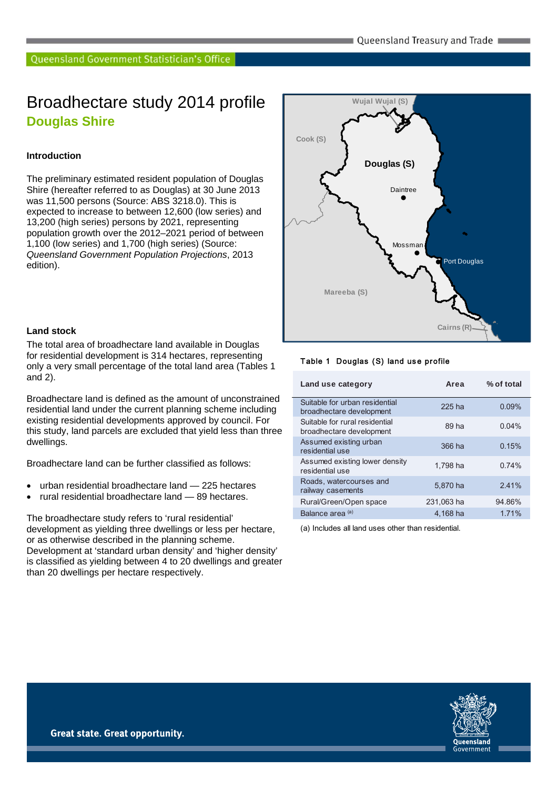## Broadhectare study 2014 profile **Douglas Shire**

#### **Introduction**

The preliminary estimated resident population of Douglas Shire (hereafter referred to as Douglas) at 30 June 2013 was 11,500 persons (Source: ABS 3218.0). This is expected to increase to between 12,600 (low series) and 13,200 (high series) persons by 2021, representing population growth over the 2012–2021 period of between 1,100 (low series) and 1,700 (high series) (Source: *Queensland Government Population Projections*, 2013 edition).



#### **Land stock**

The total area of broadhectare land available in Douglas for residential development is 314 hectares, representing only a very small percentage of the total land area (Tables 1 and 2).

Broadhectare land is defined as the amount of unconstrained residential land under the current planning scheme including existing residential developments approved by council. For this study, land parcels are excluded that yield less than three dwellings.

Broadhectare land can be further classified as follows:

- urban residential broadhectare land 225 hectares
- rural residential broadhectare land 89 hectares.

The broadhectare study refers to 'rural residential' development as yielding three dwellings or less per hectare, or as otherwise described in the planning scheme. Development at 'standard urban density' and 'higher density' is classified as yielding between 4 to 20 dwellings and greater than 20 dwellings per hectare respectively.

#### Table 1 Douglas (S) land use profile

| Land use category                                          | Area       | % of total |
|------------------------------------------------------------|------------|------------|
| Suitable for urban residential<br>broadhectare development | 225 ha     | 0.09%      |
| Suitable for rural residential<br>broadhectare development | 89 ha      | 0.04%      |
| Assumed existing urban<br>residential use                  | 366 ha     | 0.15%      |
| Assumed existing lower density<br>residential use          | 1.798 ha   | 0.74%      |
| Roads, watercourses and<br>railway casements               | 5.870 ha   | 2.41%      |
| Rural/Green/Open space                                     | 231,063 ha | 94.86%     |
| Balance area <sup>(a)</sup>                                | 4.168 ha   | 1.71%      |

(a) Includes all land uses other than residential.

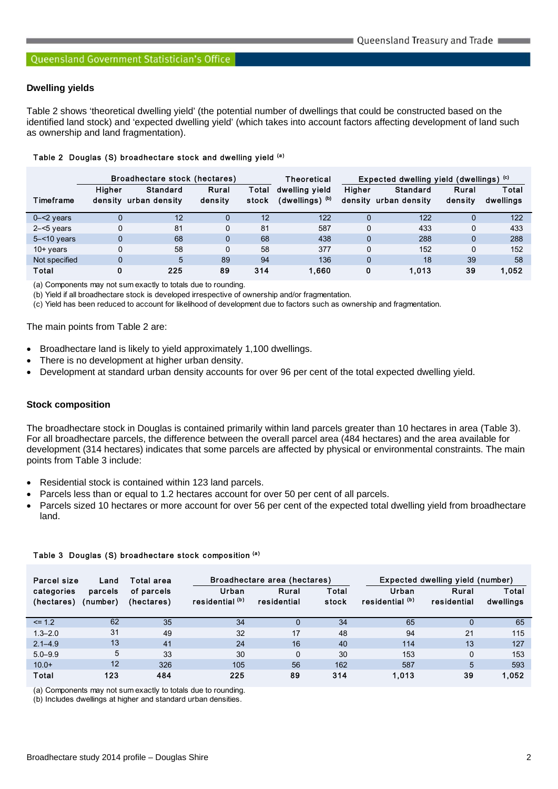#### **Dwelling yields**

Table 2 shows 'theoretical dwelling yield' (the potential number of dwellings that could be constructed based on the identified land stock) and 'expected dwelling yield' (which takes into account factors affecting development of land such as ownership and land fragmentation).

|  |  |  | Table 2 Douglas (S) broadhectare stock and dwelling yield (a) |  |  |  |  |  |
|--|--|--|---------------------------------------------------------------|--|--|--|--|--|
|--|--|--|---------------------------------------------------------------|--|--|--|--|--|

|                | Broadhectare stock (hectares) |                           |                  | <b>Theoretical</b> |                                               | Expected dwelling yield (dwellings) (c) |                                  |                  |                    |
|----------------|-------------------------------|---------------------------|------------------|--------------------|-----------------------------------------------|-----------------------------------------|----------------------------------|------------------|--------------------|
| Timeframe      | Higher<br>densitv             | Standard<br>urban density | Rural<br>density | Total<br>stock     | dwelling yield<br>$(dwelling)$ <sup>(b)</sup> | Higher<br>density                       | <b>Standard</b><br>urban density | Rural<br>density | Total<br>dwellings |
| $0 - 2$ years  |                               | 12                        |                  | 12                 | 122                                           |                                         | 122                              | 0                | 122                |
| $2 - 5$ years  |                               | 81                        | $\Omega$         | 81                 | 587                                           | $\Omega$                                | 433                              | 0                | 433                |
| $5 - 10$ years | $\Omega$                      | 68                        | $\Omega$         | 68                 | 438                                           | $\Omega$                                | 288                              | $\mathbf 0$      | 288                |
| $10+$ years    |                               | 58                        | $\Omega$         | 58                 | 377                                           | $\Omega$                                | 152                              | 0                | 152                |
| Not specified  | $\Omega$                      | 5                         | 89               | 94                 | 136                                           | $\Omega$                                | 18                               | 39               | 58                 |
| Total          | 0                             | 225                       | 89               | 314                | 1,660                                         | 0                                       | 1.013                            | 39               | 1.052              |

(a) Components may not sum exactly to totals due to rounding.

(b) Yield if all broadhectare stock is developed irrespective of ownership and/or fragmentation.

(c) Yield has been reduced to account for likelihood of development due to factors such as ownership and fragmentation.

The main points from Table 2 are:

- Broadhectare land is likely to yield approximately 1,100 dwellings.
- There is no development at higher urban density.
- Development at standard urban density accounts for over 96 per cent of the total expected dwelling yield.

#### **Stock composition**

The broadhectare stock in Douglas is contained primarily within land parcels greater than 10 hectares in area (Table 3). For all broadhectare parcels, the difference between the overall parcel area (484 hectares) and the area available for development (314 hectares) indicates that some parcels are affected by physical or environmental constraints. The main points from Table 3 include:

- Residential stock is contained within 123 land parcels.
- Parcels less than or equal to 1.2 hectares account for over 50 per cent of all parcels.
- Parcels sized 10 hectares or more account for over 56 per cent of the expected total dwelling yield from broadhectare land.

| Parcel size<br>Land      |                     | Total area               | Broadhectare area (hectares) |                      |                | Expected dwelling yield (number) |                      |                    |
|--------------------------|---------------------|--------------------------|------------------------------|----------------------|----------------|----------------------------------|----------------------|--------------------|
| categories<br>(hectares) | parcels<br>(number) | of parcels<br>(hectares) | Urban<br>residential (b)     | Rural<br>residential | Total<br>stock | Urban<br>residential (b)         | Rural<br>residential | Total<br>dwellings |
| $\le$ 1.2                | 62                  | 35                       | 34                           | 0                    | 34             | 65                               | $\Omega$             | 65                 |
| $1.3 - 2.0$              | 31                  | 49                       | 32                           | 17                   | 48             | 94                               | 21                   | 115                |
| $2.1 - 4.9$              | 13                  | 41                       | 24                           | 16                   | 40             | 114                              | 13                   | 127                |
| $5.0 - 9.9$              | 5                   | 33                       | 30                           | 0                    | 30             | 153                              | $\mathbf 0$          | 153                |
| $10.0+$                  | 12                  | 326                      | 105                          | 56                   | 162            | 587                              | 5                    | 593                |
| Total                    | 123                 | 484                      | 225                          | 89                   | 314            | 1,013                            | 39                   | 1,052              |

Table 3 Douglas (S) broadhectare stock composition (a)

(a) Components may not sum exactly to totals due to rounding.

(b) Includes dwellings at higher and standard urban densities.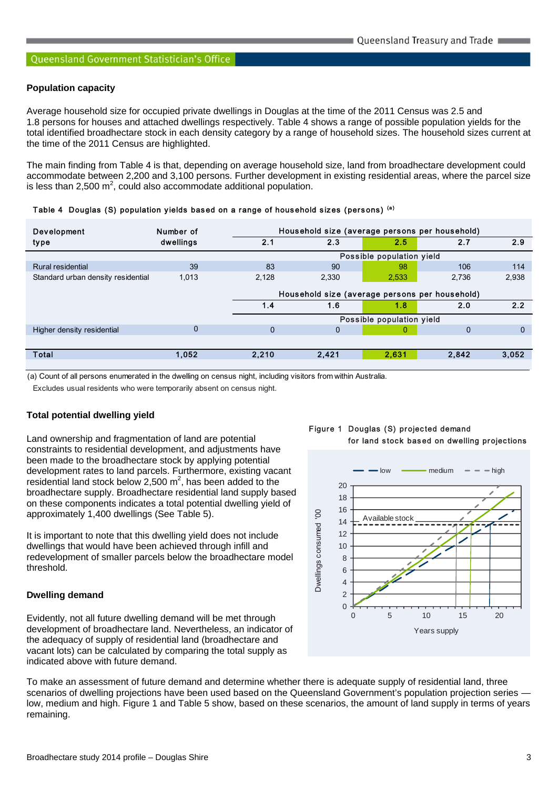#### **Population capacity**

Average household size for occupied private dwellings in Douglas at the time of the 2011 Census was 2.5 and 1.8 persons for houses and attached dwellings respectively. Table 4 shows a range of possible population yields for the total identified broadhectare stock in each density category by a range of household sizes. The household sizes current at the time of the 2011 Census are highlighted.

The main finding from Table 4 is that, depending on average household size, land from broadhectare development could accommodate between 2,200 and 3,100 persons. Further development in existing residential areas, where the parcel size is less than 2,500  $m^2$ , could also accommodate additional population.

|  |  |  |  |  | Table 4 Douglas (S) population yields based on a range of household sizes (persons) (a) |  |
|--|--|--|--|--|-----------------------------------------------------------------------------------------|--|
|--|--|--|--|--|-----------------------------------------------------------------------------------------|--|

| Development                        | Number of   |                                                | Household size (average persons per household) |                           |             |          |  |  |  |
|------------------------------------|-------------|------------------------------------------------|------------------------------------------------|---------------------------|-------------|----------|--|--|--|
| type                               | dwellings   | 2.1                                            | 2.3                                            | 2.5                       | 2.7         | 2.9      |  |  |  |
|                                    |             |                                                |                                                | Possible population yield |             |          |  |  |  |
| Rural residential                  | 39          | 83                                             | 90                                             | 98                        | 106         | 114      |  |  |  |
| Standard urban density residential | 1.013       | 2,128                                          | 2,330                                          | 2,533                     | 2,736       | 2,938    |  |  |  |
|                                    |             | Household size (average persons per household) |                                                |                           |             |          |  |  |  |
|                                    |             | 1.4                                            | 1.6                                            | 1.8                       | 2.0         | 2.2      |  |  |  |
|                                    |             |                                                | Possible population yield                      |                           |             |          |  |  |  |
| Higher density residential         | $\mathbf 0$ | $\mathbf{0}$                                   | $\mathbf{0}$                                   | 0                         | $\mathbf 0$ | $\Omega$ |  |  |  |
|                                    |             |                                                |                                                |                           |             |          |  |  |  |
| <b>Total</b>                       | 1,052       | 2,210                                          | 2,421                                          | 2,631                     | 2.842       | 3,052    |  |  |  |
|                                    |             |                                                |                                                |                           |             |          |  |  |  |

(a) Count of all persons enumerated in the dwelling on census night, including visitors from within Australia.

Excludes usual residents who were temporarily absent on census night.

#### **Total potential dwelling yield**

Land ownership and fragmentation of land are potential constraints to residential development, and adjustments have been made to the broadhectare stock by applying potential development rates to land parcels. Furthermore, existing vacant residential land stock below 2,500  $m^2$ , has been added to the broadhectare supply. Broadhectare residential land supply based on these components indicates a total potential dwelling yield of approximately 1,400 dwellings (See Table 5).

It is important to note that this dwelling yield does not include dwellings that would have been achieved through infill and redevelopment of smaller parcels below the broadhectare model threshold.

#### **Dwelling demand**

Evidently, not all future dwelling demand will be met through development of broadhectare land. Nevertheless, an indicator of the adequacy of supply of residential land (broadhectare and vacant lots) can be calculated by comparing the total supply as indicated above with future demand.





To make an assessment of future demand and determine whether there is adequate supply of residential land, three scenarios of dwelling projections have been used based on the Queensland Government's population projection series low, medium and high. Figure 1 and Table 5 show, based on these scenarios, the amount of land supply in terms of years remaining.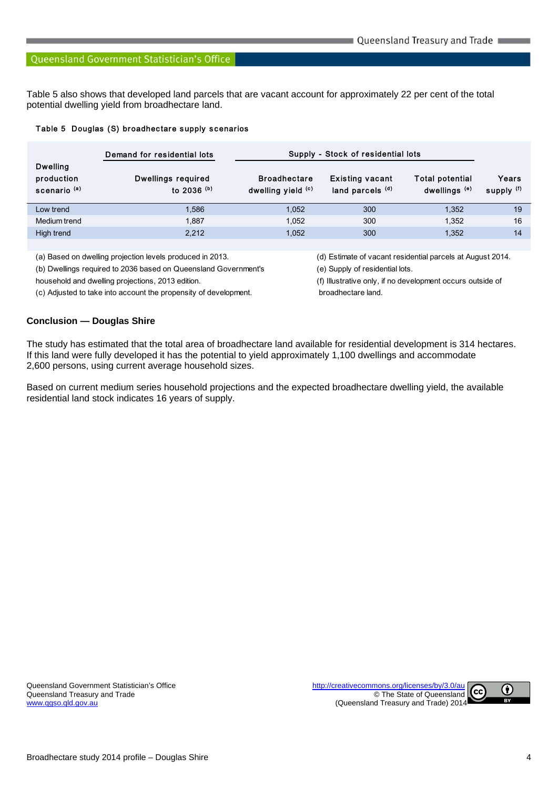Table 5 also shows that developed land parcels that are vacant account for approximately 22 per cent of the total potential dwelling yield from broadhectare land.

#### Table 5 Douglas (S) broadhectare supply scenarios

|                                                          | Demand for residential lots                           |                                           | Supply - Stock of residential lots         |                                                    |                     |
|----------------------------------------------------------|-------------------------------------------------------|-------------------------------------------|--------------------------------------------|----------------------------------------------------|---------------------|
| <b>Dwelling</b><br>production<br>scenario <sup>(a)</sup> | <b>Dwellings required</b><br>to $2036$ <sup>(b)</sup> | <b>Broadhectare</b><br>dwelling yield (c) | <b>Existing vacant</b><br>land parcels (d) | <b>Total potential</b><br>dwellings <sup>(e)</sup> | Years<br>supply (f) |
| Low trend                                                | 1.586                                                 | 1,052                                     | 300                                        | 1,352                                              | 19                  |
| Medium trend                                             | 1.887                                                 | 1,052                                     | 300                                        | 1.352                                              | 16                  |
| High trend                                               | 2.212                                                 | 1.052                                     | 300                                        | 1.352                                              | 14                  |
|                                                          |                                                       |                                           |                                            |                                                    |                     |

(a) Based on dwelling projection levels produced in 2013. (d) Estimate of vacant residential parcels at August 2014.

(b) Dwellings required to 2036 based on Queensland Government's (e) Supply of residential lots.

(c) Adjusted to take into account the propensity of development. broadhectare land.

household and dwelling projections, 2013 edition. (f) Illustrative only, if no development occurs outside of

#### **Conclusion — Douglas Shire**

The study has estimated that the total area of broadhectare land available for residential development is 314 hectares. If this land were fully developed it has the potential to yield approximately 1,100 dwellings and accommodate 2,600 persons, using current average household sizes.

Based on current medium series household projections and the expected broadhectare dwelling yield, the available residential land stock indicates 16 years of supply.